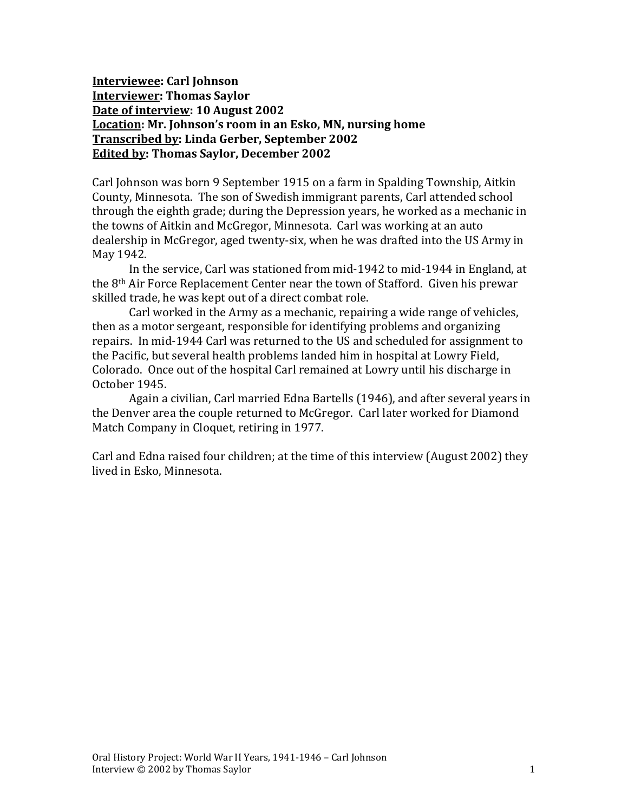**Interviewee: Carl Johnson Interviewer: Thomas Saylor Date of interview: 10 August 2002 Location: Mr. Johnson's room in an Esko, MN, nursing home Transcribed by: Linda Gerber, September 2002 Edited by: Thomas Saylor, December 2002**

Carl Johnson was born 9 September 1915 on a farm in Spalding Township, Aitkin County, Minnesota. The son of Swedish immigrant parents, Carl attended school through the eighth grade; during the Depression years, he worked as a mechanic in the towns of Aitkin and McGregor, Minnesota. Carl was working at an auto dealership in McGregor, aged twenty-six, when he was drafted into the US Army in May 1942.

In the service, Carl was stationed from mid-1942 to mid-1944 in England, at the 8th Air Force Replacement Center near the town of Stafford. Given his prewar skilled trade, he was kept out of a direct combat role.

Carl worked in the Army as a mechanic, repairing a wide range of vehicles, then as a motor sergeant, responsible for identifying problems and organizing repairs. In mid-1944 Carl was returned to the US and scheduled for assignment to the Pacific, but several health problems landed him in hospital at Lowry Field, Colorado. Once out of the hospital Carl remained at Lowry until his discharge in October 1945.

Again a civilian, Carl married Edna Bartells (1946), and after several years in the Denver area the couple returned to McGregor. Carl later worked for Diamond Match Company in Cloquet, retiring in 1977.

Carl and Edna raised four children; at the time of this interview (August 2002) they lived in Esko, Minnesota.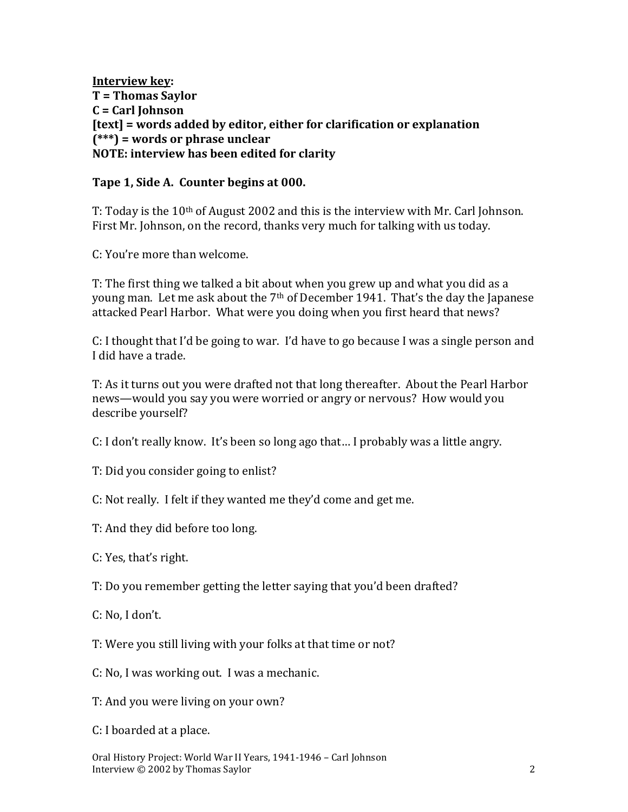**Interview key: T = Thomas Saylor C = Carl Johnson [text] = words added by editor, either for clarification or explanation (\*\*\*) = words or phrase unclear NOTE: interview has been edited for clarity**

#### **Tape 1, Side A. Counter begins at 000.**

T: Today is the  $10<sup>th</sup>$  of August 2002 and this is the interview with Mr. Carl Johnson. First Mr. Johnson, on the record, thanks very much for talking with us today.

C: You're more than welcome.

T: The first thing we talked a bit about when you grew up and what you did as a young man. Let me ask about the 7<sup>th</sup> of December 1941. That's the day the Japanese attacked Pearl Harbor. What were you doing when you first heard that news?

C: I thought that I'd be going to war. I'd have to go because I was a single person and I did have a trade.

T: As it turns out you were drafted not that long thereafter. About the Pearl Harbor news—would you say you were worried or angry or nervous? How would you describe yourself?

C: I don't really know. It's been so long ago that… I probably was a little angry.

T: Did you consider going to enlist?

C: Not really. I felt if they wanted me they'd come and get me.

T: And they did before too long.

C: Yes, that's right.

T: Do you remember getting the letter saying that you'd been drafted?

C: No, I don't.

T: Were you still living with your folks at that time or not?

C: No, I was working out. I was a mechanic.

T: And you were living on your own?

C: I boarded at a place.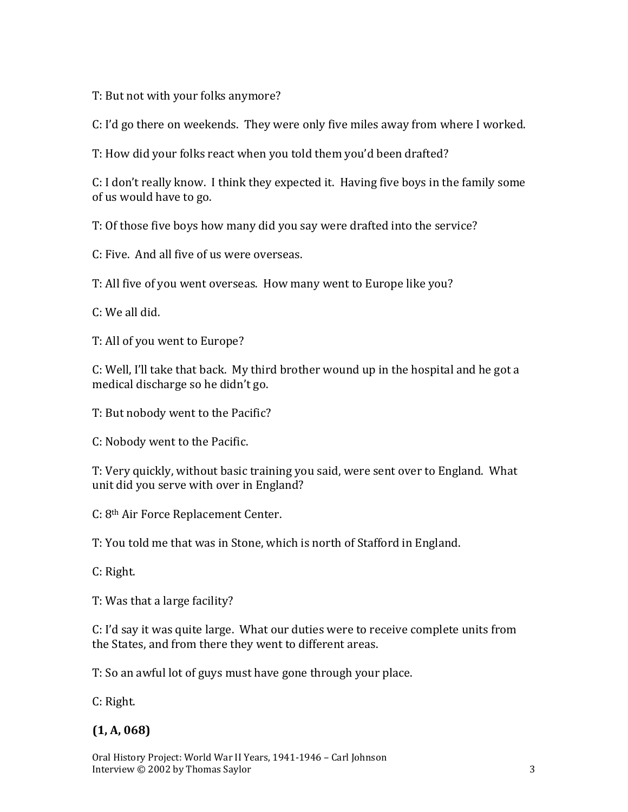T: But not with your folks anymore?

C: I'd go there on weekends. They were only five miles away from where I worked.

T: How did your folks react when you told them you'd been drafted?

C: I don't really know. I think they expected it. Having five boys in the family some of us would have to go.

T: Of those five boys how many did you say were drafted into the service?

C: Five. And all five of us were overseas.

T: All five of you went overseas. How many went to Europe like you?

C: We all did.

T: All of you went to Europe?

C: Well, I'll take that back. My third brother wound up in the hospital and he got a medical discharge so he didn't go.

T: But nobody went to the Pacific?

C: Nobody went to the Pacific.

T: Very quickly, without basic training you said, were sent over to England. What unit did you serve with over in England?

C: 8th Air Force Replacement Center.

T: You told me that was in Stone, which is north of Stafford in England.

C: Right.

T: Was that a large facility?

C: I'd say it was quite large. What our duties were to receive complete units from the States, and from there they went to different areas.

T: So an awful lot of guys must have gone through your place.

C: Right.

## **(1, A, 068)**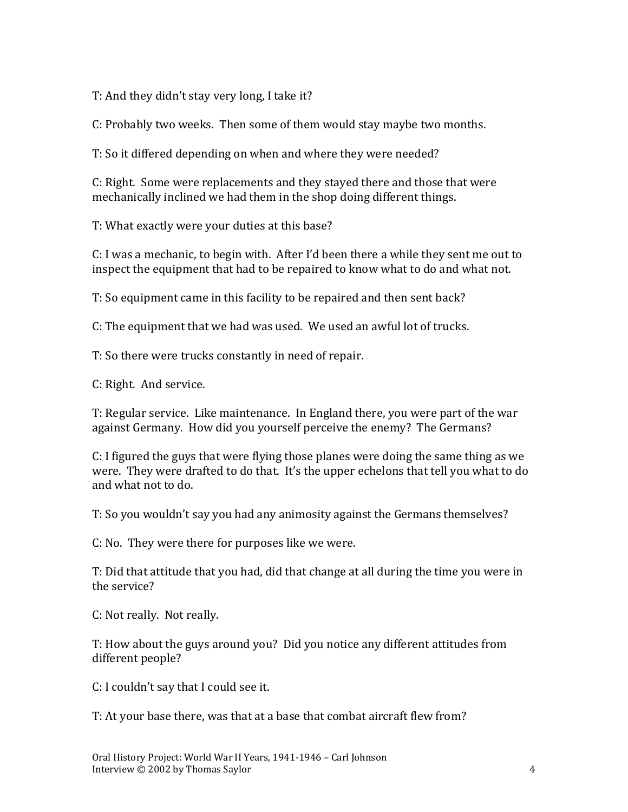T: And they didn't stay very long, I take it?

C: Probably two weeks. Then some of them would stay maybe two months.

T: So it differed depending on when and where they were needed?

C: Right. Some were replacements and they stayed there and those that were mechanically inclined we had them in the shop doing different things.

T: What exactly were your duties at this base?

C: I was a mechanic, to begin with. After I'd been there a while they sent me out to inspect the equipment that had to be repaired to know what to do and what not.

T: So equipment came in this facility to be repaired and then sent back?

C: The equipment that we had was used. We used an awful lot of trucks.

T: So there were trucks constantly in need of repair.

C: Right. And service.

T: Regular service. Like maintenance. In England there, you were part of the war against Germany. How did you yourself perceive the enemy? The Germans?

C: I figured the guys that were flying those planes were doing the same thing as we were. They were drafted to do that. It's the upper echelons that tell you what to do and what not to do.

T: So you wouldn't say you had any animosity against the Germans themselves?

C: No. They were there for purposes like we were.

T: Did that attitude that you had, did that change at all during the time you were in the service?

C: Not really. Not really.

T: How about the guys around you? Did you notice any different attitudes from different people?

C: I couldn't say that I could see it.

T: At your base there, was that at a base that combat aircraft flew from?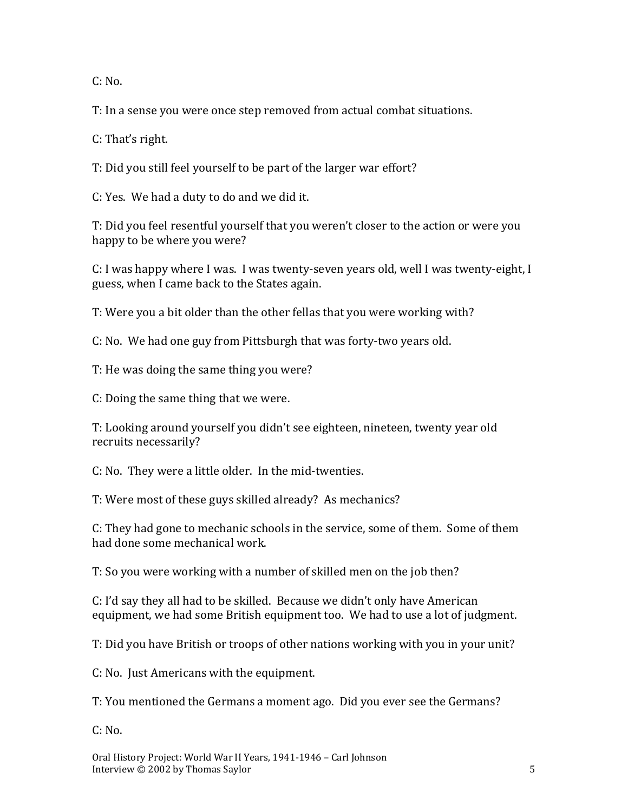$C: No.$ 

T: In a sense you were once step removed from actual combat situations.

C: That's right.

T: Did you still feel yourself to be part of the larger war effort?

C: Yes. We had a duty to do and we did it.

T: Did you feel resentful yourself that you weren't closer to the action or were you happy to be where you were?

C: I was happy where I was. I was twenty-seven years old, well I was twenty-eight, I guess, when I came back to the States again.

T: Were you a bit older than the other fellas that you were working with?

C: No. We had one guy from Pittsburgh that was forty-two years old.

T: He was doing the same thing you were?

C: Doing the same thing that we were.

T: Looking around yourself you didn't see eighteen, nineteen, twenty year old recruits necessarily?

C: No. They were a little older. In the mid-twenties.

T: Were most of these guys skilled already? As mechanics?

C: They had gone to mechanic schools in the service, some of them. Some of them had done some mechanical work.

T: So you were working with a number of skilled men on the job then?

C: I'd say they all had to be skilled. Because we didn't only have American equipment, we had some British equipment too. We had to use a lot of judgment.

T: Did you have British or troops of other nations working with you in your unit?

C: No. Just Americans with the equipment.

T: You mentioned the Germans a moment ago. Did you ever see the Germans?

 $C: No.$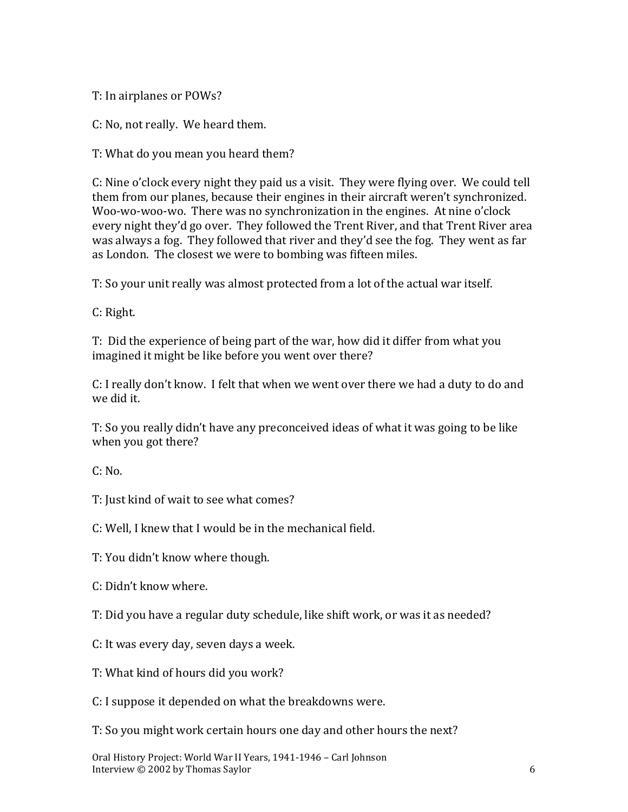T: In airplanes or POWs?

C: No, not really. We heard them.

T: What do you mean you heard them?

C: Nine o'clock every night they paid us a visit. They were flying over. We could tell them from our planes, because their engines in their aircraft weren't synchronized. Woo-wo-woo-wo. There was no synchronization in the engines. At nine o'clock every night they'd go over. They followed the Trent River, and that Trent River area was always a fog. They followed that river and they'd see the fog. They went as far as London. The closest we were to bombing was fifteen miles.

T: So your unit really was almost protected from a lot of the actual war itself.

C: Right.

T: Did the experience of being part of the war, how did it differ from what you imagined it might be like before you went over there?

C: I really don't know. I felt that when we went over there we had a duty to do and we did it.

T: So you really didn't have any preconceived ideas of what it was going to be like when you got there?

C: No.

T: Just kind of wait to see what comes?

C: Well, I knew that I would be in the mechanical field.

T: You didn't know where though.

C: Didn't know where.

T: Did you have a regular duty schedule, like shift work, or was it as needed?

C: It was every day, seven days a week.

T: What kind of hours did you work?

C: I suppose it depended on what the breakdowns were.

T: So you might work certain hours one day and other hours the next?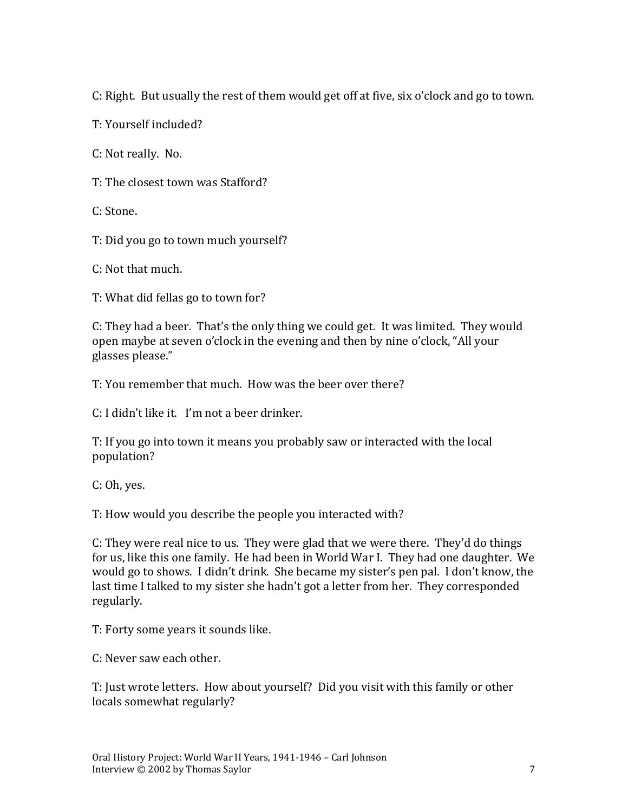C: Right. But usually the rest of them would get off at five, six o'clock and go to town.

T: Yourself included?

C: Not really. No.

T: The closest town was Stafford?

C: Stone.

T: Did you go to town much yourself?

C: Not that much.

T: What did fellas go to town for?

C: They had a beer. That's the only thing we could get. It was limited. They would open maybe at seven o'clock in the evening and then by nine o'clock, "All your glasses please."

T: You remember that much. How was the beer over there?

C: I didn't like it. I'm not a beer drinker.

T: If you go into town it means you probably saw or interacted with the local population?

C: Oh, yes.

T: How would you describe the people you interacted with?

C: They were real nice to us. They were glad that we were there. They'd do things for us, like this one family. He had been in World War I. They had one daughter. We would go to shows. I didn't drink. She became my sister's pen pal. I don't know, the last time I talked to my sister she hadn't got a letter from her. They corresponded regularly.

T: Forty some years it sounds like.

C: Never saw each other.

T: Just wrote letters. How about yourself? Did you visit with this family or other locals somewhat regularly?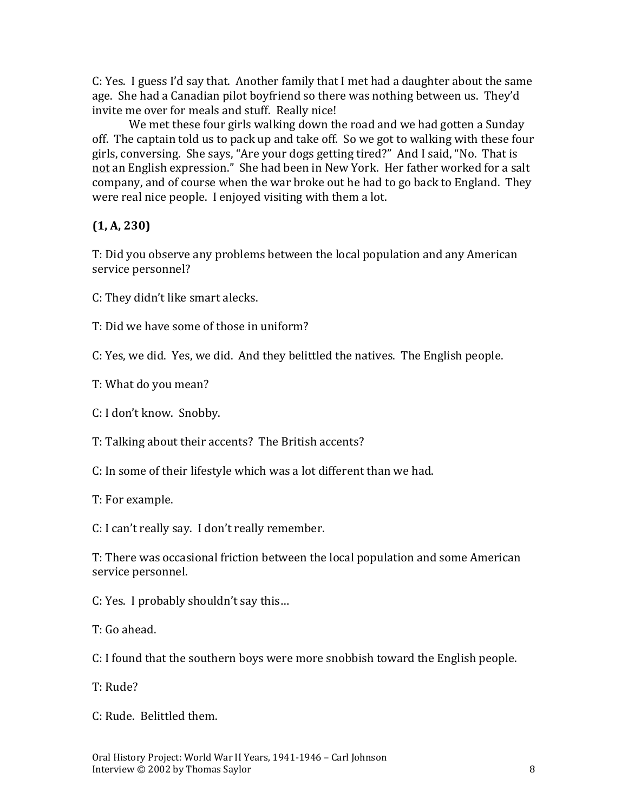C: Yes. I guess I'd say that. Another family that I met had a daughter about the same age. She had a Canadian pilot boyfriend so there was nothing between us. They'd invite me over for meals and stuff. Really nice!

We met these four girls walking down the road and we had gotten a Sunday off. The captain told us to pack up and take off. So we got to walking with these four girls, conversing. She says, "Are your dogs getting tired?" And I said, "No. That is not an English expression." She had been in New York. Her father worked for a salt company, and of course when the war broke out he had to go back to England. They were real nice people. I enjoyed visiting with them a lot.

#### **(1, A, 230)**

T: Did you observe any problems between the local population and any American service personnel?

C: They didn't like smart alecks.

T: Did we have some of those in uniform?

C: Yes, we did. Yes, we did. And they belittled the natives. The English people.

T: What do you mean?

C: I don't know. Snobby.

T: Talking about their accents? The British accents?

C: In some of their lifestyle which was a lot different than we had.

T: For example.

C: I can't really say. I don't really remember.

T: There was occasional friction between the local population and some American service personnel.

C: Yes. I probably shouldn't say this…

T: Go ahead.

C: I found that the southern boys were more snobbish toward the English people.

T: Rude?

C: Rude. Belittled them.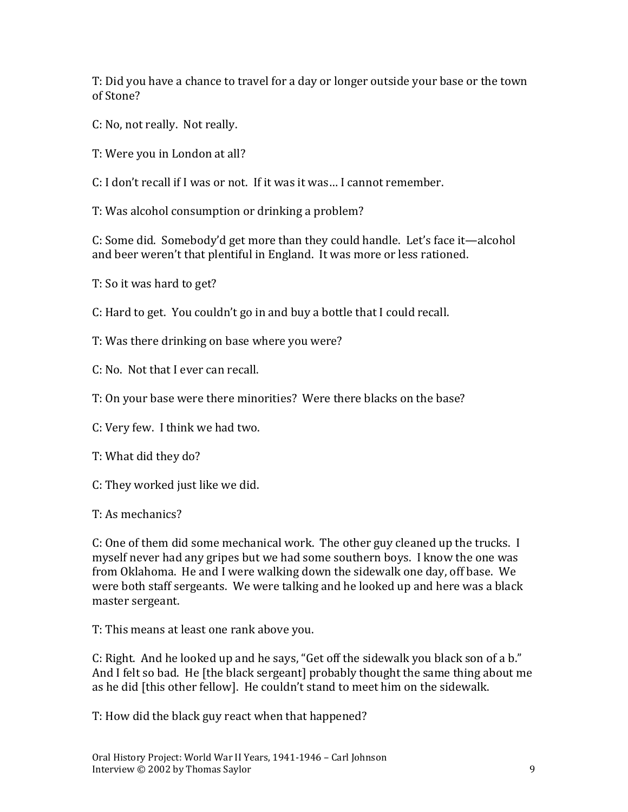T: Did you have a chance to travel for a day or longer outside your base or the town of Stone?

- C: No, not really. Not really.
- T: Were you in London at all?
- C: I don't recall if I was or not. If it was it was… I cannot remember.
- T: Was alcohol consumption or drinking a problem?

C: Some did. Somebody'd get more than they could handle. Let's face it—alcohol and beer weren't that plentiful in England. It was more or less rationed.

- T: So it was hard to get?
- C: Hard to get. You couldn't go in and buy a bottle that I could recall.
- T: Was there drinking on base where you were?
- C: No. Not that I ever can recall.
- T: On your base were there minorities? Were there blacks on the base?
- C: Very few. I think we had two.
- T: What did they do?
- C: They worked just like we did.
- T: As mechanics?

C: One of them did some mechanical work. The other guy cleaned up the trucks. I myself never had any gripes but we had some southern boys. I know the one was from Oklahoma. He and I were walking down the sidewalk one day, off base. We were both staff sergeants. We were talking and he looked up and here was a black master sergeant.

T: This means at least one rank above you.

C: Right. And he looked up and he says, "Get off the sidewalk you black son of a b." And I felt so bad. He [the black sergeant] probably thought the same thing about me as he did [this other fellow]. He couldn't stand to meet him on the sidewalk.

T: How did the black guy react when that happened?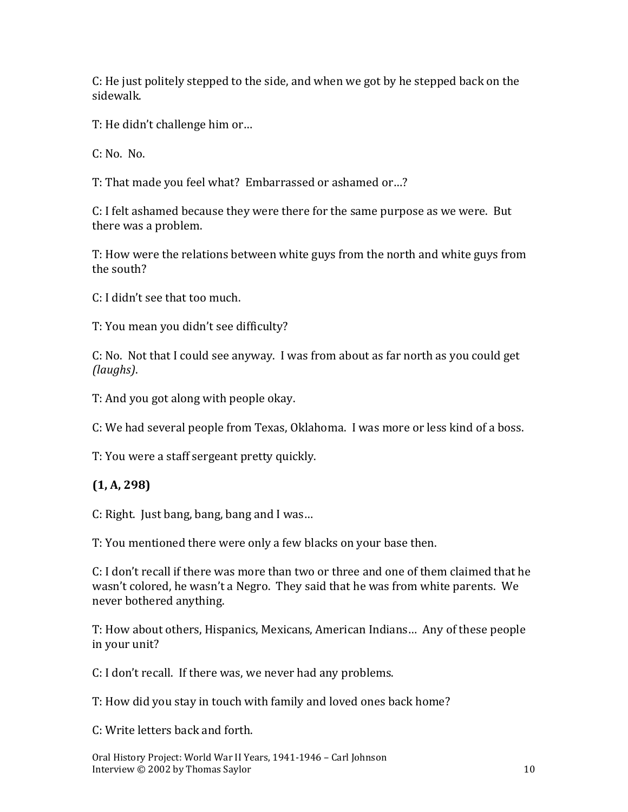C: He just politely stepped to the side, and when we got by he stepped back on the sidewalk.

T: He didn't challenge him or…

C: No. No.

T: That made you feel what? Embarrassed or ashamed or…?

C: I felt ashamed because they were there for the same purpose as we were. But there was a problem.

T: How were the relations between white guys from the north and white guys from the south?

C: I didn't see that too much.

T: You mean you didn't see difficulty?

C: No. Not that I could see anyway. I was from about as far north as you could get *(laughs)*.

T: And you got along with people okay.

C: We had several people from Texas, Oklahoma. I was more or less kind of a boss.

T: You were a staff sergeant pretty quickly.

#### **(1, A, 298)**

C: Right. Just bang, bang, bang and I was…

T: You mentioned there were only a few blacks on your base then.

C: I don't recall if there was more than two or three and one of them claimed that he wasn't colored, he wasn't a Negro. They said that he was from white parents. We never bothered anything.

T: How about others, Hispanics, Mexicans, American Indians… Any of these people in your unit?

C: I don't recall. If there was, we never had any problems.

T: How did you stay in touch with family and loved ones back home?

C: Write letters back and forth.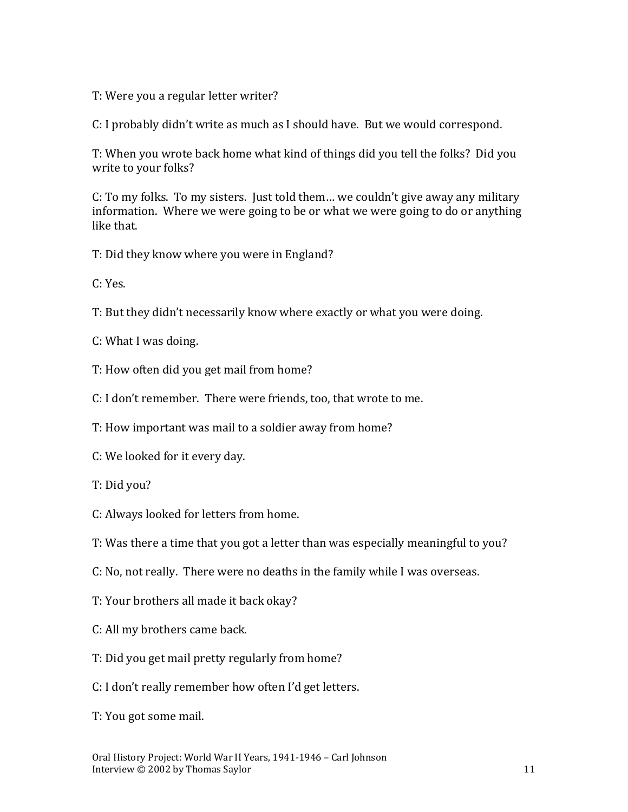T: Were you a regular letter writer?

C: I probably didn't write as much as I should have. But we would correspond.

T: When you wrote back home what kind of things did you tell the folks? Did you write to your folks?

C: To my folks. To my sisters. Just told them… we couldn't give away any military information. Where we were going to be or what we were going to do or anything like that.

T: Did they know where you were in England?

C: Yes.

T: But they didn't necessarily know where exactly or what you were doing.

C: What I was doing.

T: How often did you get mail from home?

C: I don't remember. There were friends, too, that wrote to me.

T: How important was mail to a soldier away from home?

C: We looked for it every day.

T: Did you?

C: Always looked for letters from home.

T: Was there a time that you got a letter than was especially meaningful to you?

C: No, not really. There were no deaths in the family while I was overseas.

T: Your brothers all made it back okay?

C: All my brothers came back.

T: Did you get mail pretty regularly from home?

C: I don't really remember how often I'd get letters.

T: You got some mail.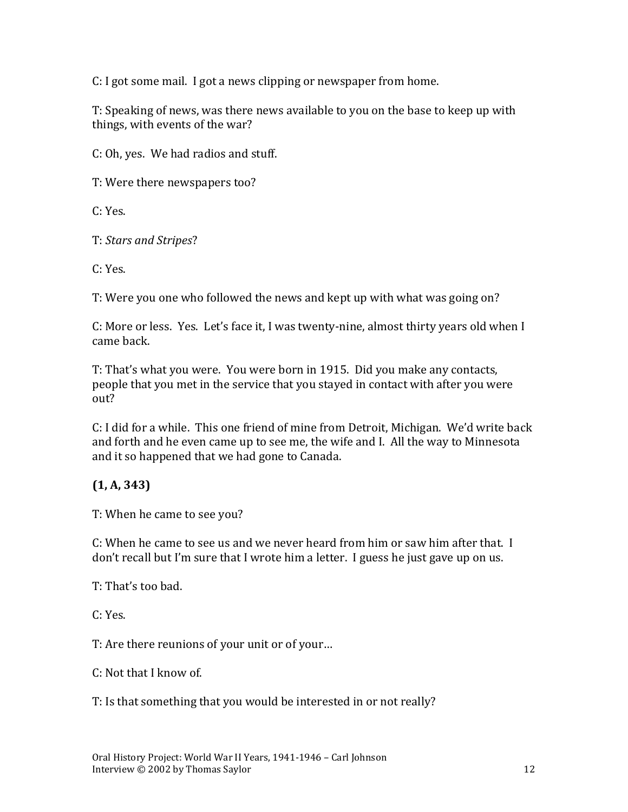C: I got some mail. I got a news clipping or newspaper from home.

T: Speaking of news, was there news available to you on the base to keep up with things, with events of the war?

C: Oh, yes. We had radios and stuff.

T: Were there newspapers too?

C: Yes.

T: *Stars and Stripes*?

C: Yes.

T: Were you one who followed the news and kept up with what was going on?

C: More or less. Yes. Let's face it, I was twenty-nine, almost thirty years old when I came back.

T: That's what you were. You were born in 1915. Did you make any contacts, people that you met in the service that you stayed in contact with after you were out?

C: I did for a while. This one friend of mine from Detroit, Michigan. We'd write back and forth and he even came up to see me, the wife and I. All the way to Minnesota and it so happened that we had gone to Canada.

## **(1, A, 343)**

T: When he came to see you?

C: When he came to see us and we never heard from him or saw him after that. I don't recall but I'm sure that I wrote him a letter. I guess he just gave up on us.

T: That's too bad.

C: Yes.

T: Are there reunions of your unit or of your…

C: Not that I know of.

T: Is that something that you would be interested in or not really?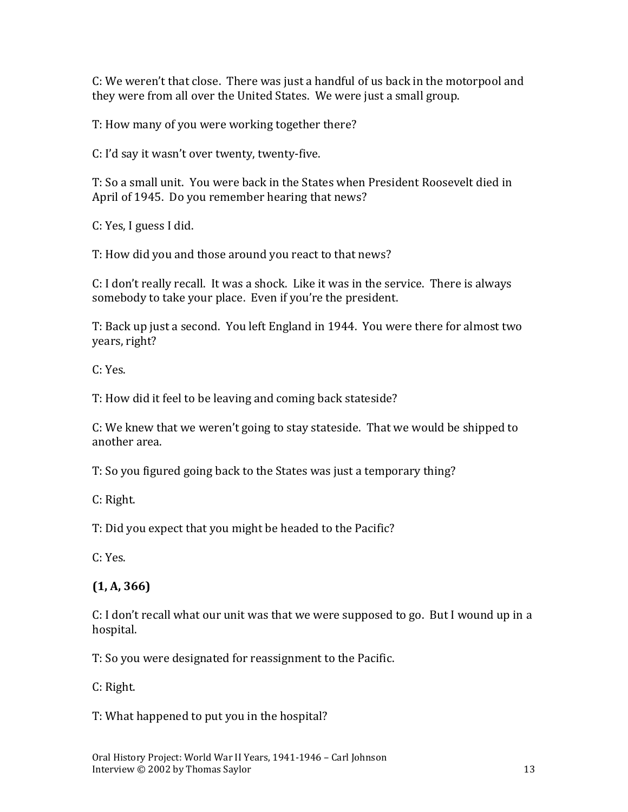C: We weren't that close. There was just a handful of us back in the motorpool and they were from all over the United States. We were just a small group.

T: How many of you were working together there?

C: I'd say it wasn't over twenty, twenty-five.

T: So a small unit. You were back in the States when President Roosevelt died in April of 1945. Do you remember hearing that news?

C: Yes, I guess I did.

T: How did you and those around you react to that news?

C: I don't really recall. It was a shock. Like it was in the service. There is always somebody to take your place. Even if you're the president.

T: Back up just a second. You left England in 1944. You were there for almost two years, right?

C: Yes.

T: How did it feel to be leaving and coming back stateside?

C: We knew that we weren't going to stay stateside. That we would be shipped to another area.

T: So you figured going back to the States was just a temporary thing?

C: Right.

T: Did you expect that you might be headed to the Pacific?

C: Yes.

## **(1, A, 366)**

C: I don't recall what our unit was that we were supposed to go. But I wound up in a hospital.

T: So you were designated for reassignment to the Pacific.

C: Right.

T: What happened to put you in the hospital?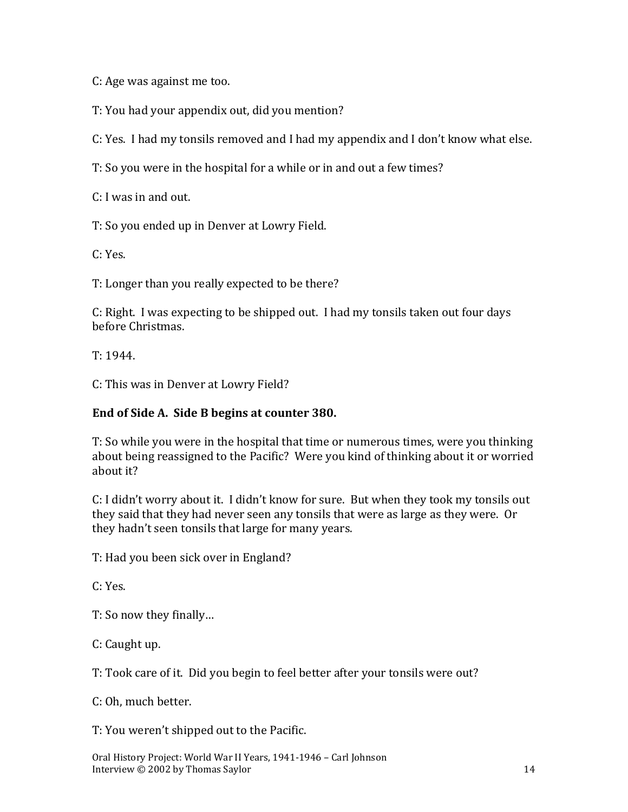C: Age was against me too.

T: You had your appendix out, did you mention?

C: Yes. I had my tonsils removed and I had my appendix and I don't know what else.

T: So you were in the hospital for a while or in and out a few times?

C: I was in and out.

T: So you ended up in Denver at Lowry Field.

C: Yes.

T: Longer than you really expected to be there?

C: Right. I was expecting to be shipped out. I had my tonsils taken out four days before Christmas.

T: 1944.

C: This was in Denver at Lowry Field?

#### **End of Side A. Side B begins at counter 380.**

T: So while you were in the hospital that time or numerous times, were you thinking about being reassigned to the Pacific? Were you kind of thinking about it or worried about it?

C: I didn't worry about it. I didn't know for sure. But when they took my tonsils out they said that they had never seen any tonsils that were as large as they were. Or they hadn't seen tonsils that large for many years.

T: Had you been sick over in England?

C: Yes.

T: So now they finally…

C: Caught up.

T: Took care of it. Did you begin to feel better after your tonsils were out?

C: Oh, much better.

T: You weren't shipped out to the Pacific.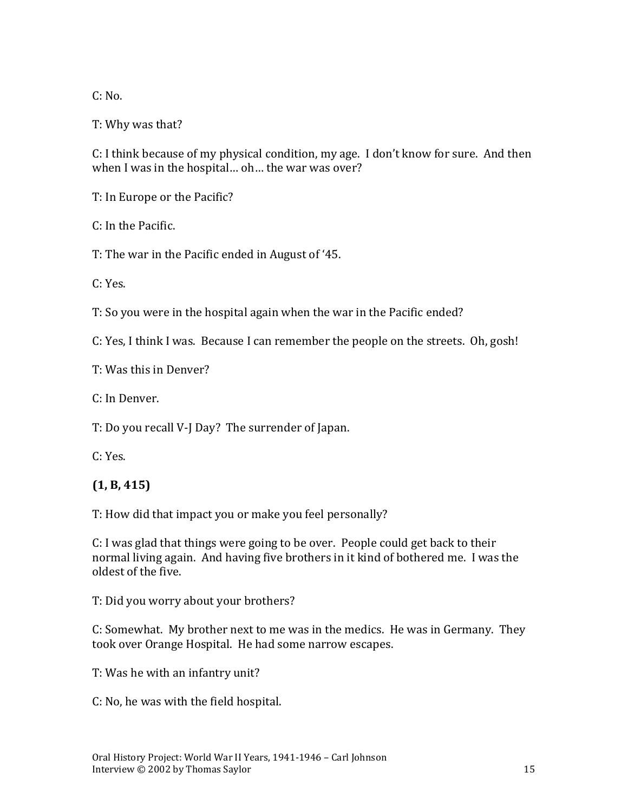$C: No.$ 

T: Why was that?

C: I think because of my physical condition, my age. I don't know for sure. And then when I was in the hospital… oh… the war was over?

T: In Europe or the Pacific?

C: In the Pacific.

T: The war in the Pacific ended in August of '45.

C: Yes.

T: So you were in the hospital again when the war in the Pacific ended?

C: Yes, I think I was. Because I can remember the people on the streets. Oh, gosh!

T: Was this in Denver?

C: In Denver.

T: Do you recall V-J Day? The surrender of Japan.

C: Yes.

## **(1, B, 415)**

T: How did that impact you or make you feel personally?

C: I was glad that things were going to be over. People could get back to their normal living again. And having five brothers in it kind of bothered me. I was the oldest of the five.

T: Did you worry about your brothers?

C: Somewhat. My brother next to me was in the medics. He was in Germany. They took over Orange Hospital. He had some narrow escapes.

T: Was he with an infantry unit?

C: No, he was with the field hospital.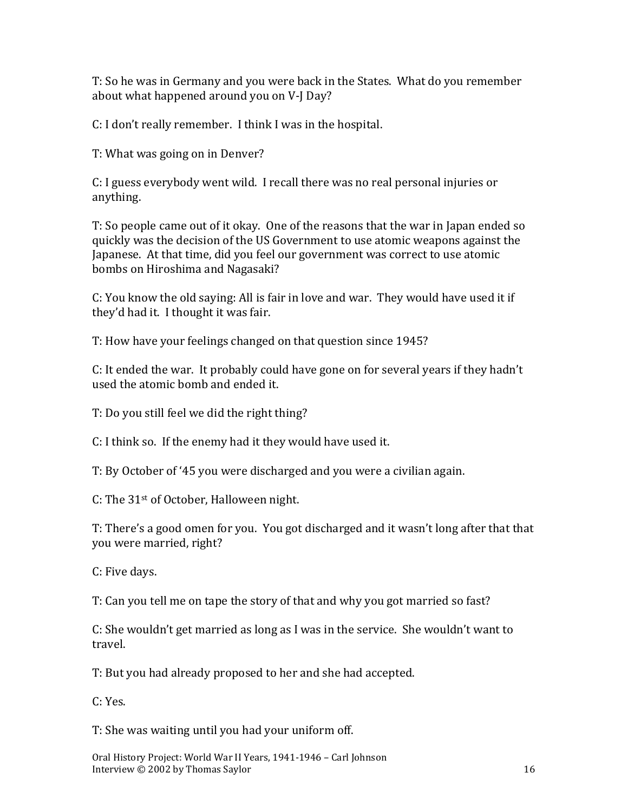T: So he was in Germany and you were back in the States. What do you remember about what happened around you on V-J Day?

C: I don't really remember. I think I was in the hospital.

T: What was going on in Denver?

C: I guess everybody went wild. I recall there was no real personal injuries or anything.

T: So people came out of it okay. One of the reasons that the war in Japan ended so quickly was the decision of the US Government to use atomic weapons against the Japanese. At that time, did you feel our government was correct to use atomic bombs on Hiroshima and Nagasaki?

C: You know the old saying: All is fair in love and war. They would have used it if they'd had it. I thought it was fair.

T: How have your feelings changed on that question since 1945?

C: It ended the war. It probably could have gone on for several years if they hadn't used the atomic bomb and ended it.

T: Do you still feel we did the right thing?

C: I think so. If the enemy had it they would have used it.

T: By October of '45 you were discharged and you were a civilian again.

C: The 31st of October, Halloween night.

T: There's a good omen for you. You got discharged and it wasn't long after that that you were married, right?

C: Five days.

T: Can you tell me on tape the story of that and why you got married so fast?

C: She wouldn't get married as long as I was in the service. She wouldn't want to travel.

T: But you had already proposed to her and she had accepted.

C: Yes.

T: She was waiting until you had your uniform off.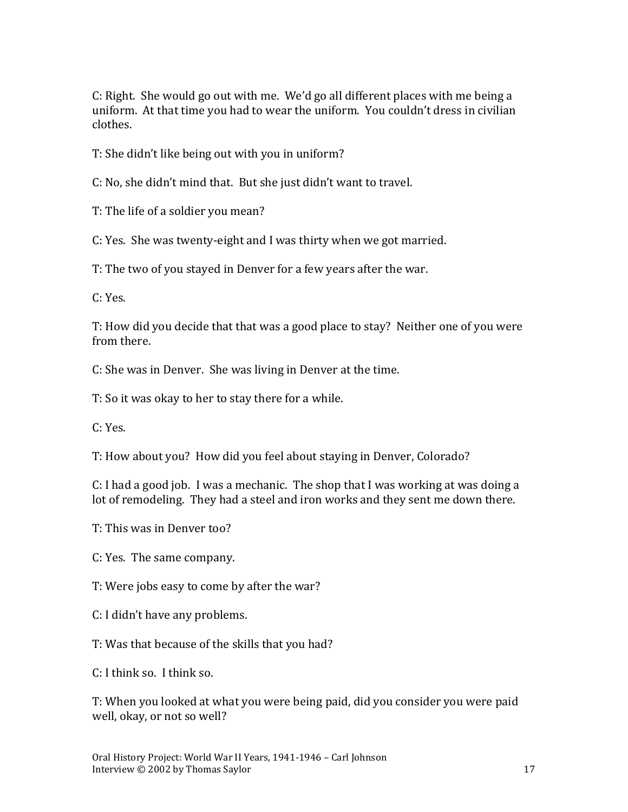C: Right. She would go out with me. We'd go all different places with me being a uniform. At that time you had to wear the uniform. You couldn't dress in civilian clothes.

T: She didn't like being out with you in uniform?

C: No, she didn't mind that. But she just didn't want to travel.

T: The life of a soldier you mean?

C: Yes. She was twenty-eight and I was thirty when we got married.

T: The two of you stayed in Denver for a few years after the war.

C: Yes.

T: How did you decide that that was a good place to stay? Neither one of you were from there.

C: She was in Denver. She was living in Denver at the time.

T: So it was okay to her to stay there for a while.

C: Yes.

T: How about you? How did you feel about staying in Denver, Colorado?

C: I had a good job. I was a mechanic. The shop that I was working at was doing a lot of remodeling. They had a steel and iron works and they sent me down there.

T: This was in Denver too?

C: Yes. The same company.

T: Were jobs easy to come by after the war?

C: I didn't have any problems.

T: Was that because of the skills that you had?

C: I think so. I think so.

T: When you looked at what you were being paid, did you consider you were paid well, okay, or not so well?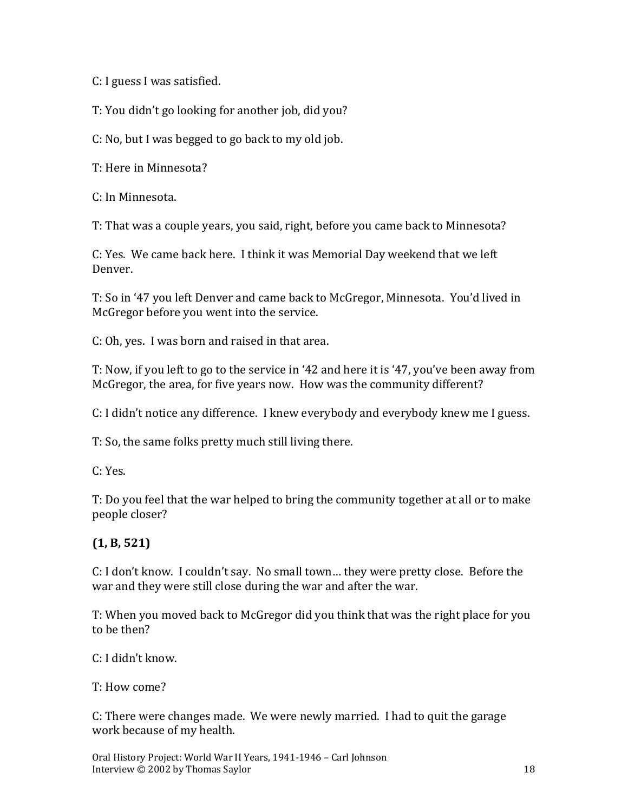C: I guess I was satisfied.

T: You didn't go looking for another job, did you?

C: No, but I was begged to go back to my old job.

T: Here in Minnesota?

C: In Minnesota.

T: That was a couple years, you said, right, before you came back to Minnesota?

C: Yes. We came back here. I think it was Memorial Day weekend that we left Denver.

T: So in '47 you left Denver and came back to McGregor, Minnesota. You'd lived in McGregor before you went into the service.

C: Oh, yes. I was born and raised in that area.

T: Now, if you left to go to the service in '42 and here it is '47, you've been away from McGregor, the area, for five years now. How was the community different?

C: I didn't notice any difference. I knew everybody and everybody knew me I guess.

T: So, the same folks pretty much still living there.

C: Yes.

T: Do you feel that the war helped to bring the community together at all or to make people closer?

# **(1, B, 521)**

C: I don't know. I couldn't say. No small town… they were pretty close. Before the war and they were still close during the war and after the war.

T: When you moved back to McGregor did you think that was the right place for you to be then?

C: I didn't know.

T: How come?

C: There were changes made. We were newly married. I had to quit the garage work because of my health.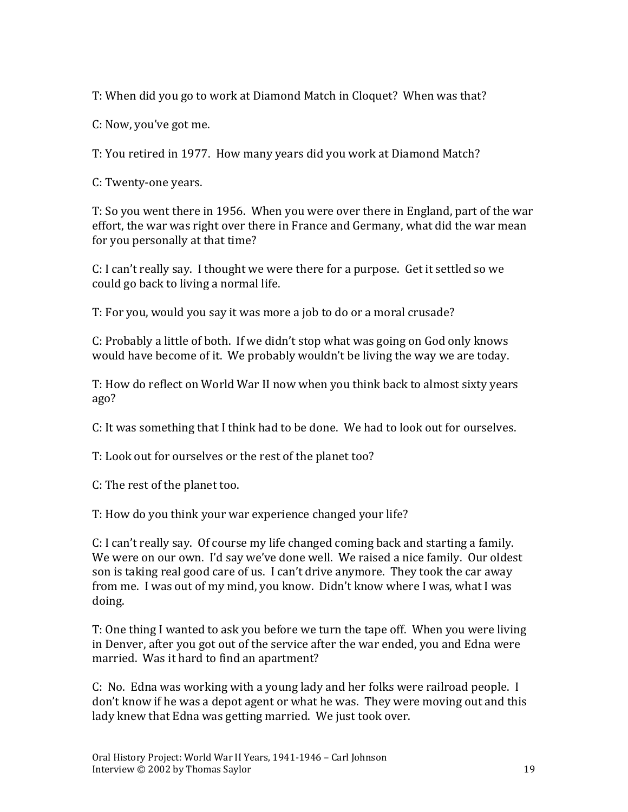T: When did you go to work at Diamond Match in Cloquet? When was that?

C: Now, you've got me.

T: You retired in 1977. How many years did you work at Diamond Match?

C: Twenty-one years.

T: So you went there in 1956. When you were over there in England, part of the war effort, the war was right over there in France and Germany, what did the war mean for you personally at that time?

C: I can't really say. I thought we were there for a purpose. Get it settled so we could go back to living a normal life.

T: For you, would you say it was more a job to do or a moral crusade?

C: Probably a little of both. If we didn't stop what was going on God only knows would have become of it. We probably wouldn't be living the way we are today.

T: How do reflect on World War II now when you think back to almost sixty years ago?

C: It was something that I think had to be done. We had to look out for ourselves.

T: Look out for ourselves or the rest of the planet too?

C: The rest of the planet too.

T: How do you think your war experience changed your life?

C: I can't really say. Of course my life changed coming back and starting a family. We were on our own. I'd say we've done well. We raised a nice family. Our oldest son is taking real good care of us. I can't drive anymore. They took the car away from me. I was out of my mind, you know. Didn't know where I was, what I was doing.

T: One thing I wanted to ask you before we turn the tape off. When you were living in Denver, after you got out of the service after the war ended, you and Edna were married. Was it hard to find an apartment?

C: No. Edna was working with a young lady and her folks were railroad people. I don't know if he was a depot agent or what he was. They were moving out and this lady knew that Edna was getting married. We just took over.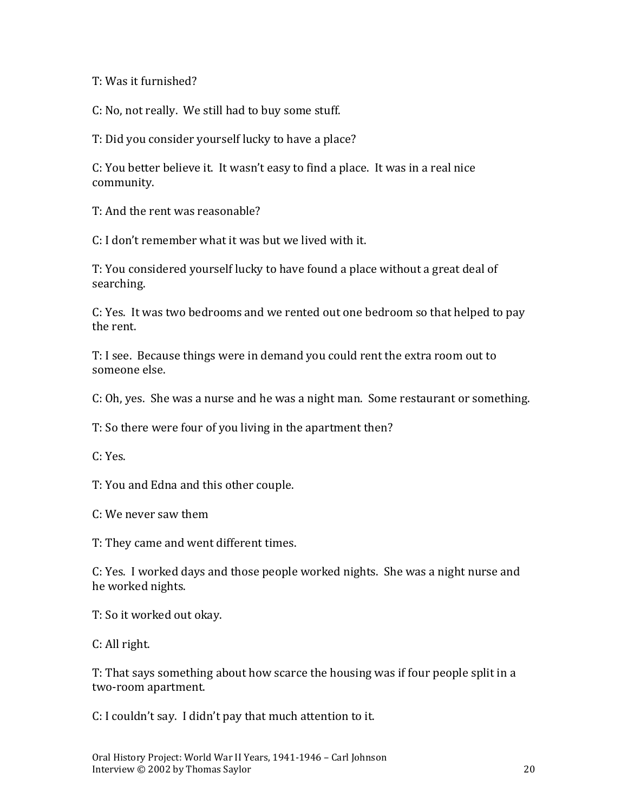T: Was it furnished?

C: No, not really. We still had to buy some stuff.

T: Did you consider yourself lucky to have a place?

C: You better believe it. It wasn't easy to find a place. It was in a real nice community.

T: And the rent was reasonable?

C: I don't remember what it was but we lived with it.

T: You considered yourself lucky to have found a place without a great deal of searching.

C: Yes. It was two bedrooms and we rented out one bedroom so that helped to pay the rent.

T: I see. Because things were in demand you could rent the extra room out to someone else.

C: Oh, yes. She was a nurse and he was a night man. Some restaurant or something.

T: So there were four of you living in the apartment then?

C: Yes.

T: You and Edna and this other couple.

C: We never saw them

T: They came and went different times.

C: Yes. I worked days and those people worked nights. She was a night nurse and he worked nights.

T: So it worked out okay.

C: All right.

T: That says something about how scarce the housing was if four people split in a two-room apartment.

C: I couldn't say. I didn't pay that much attention to it.